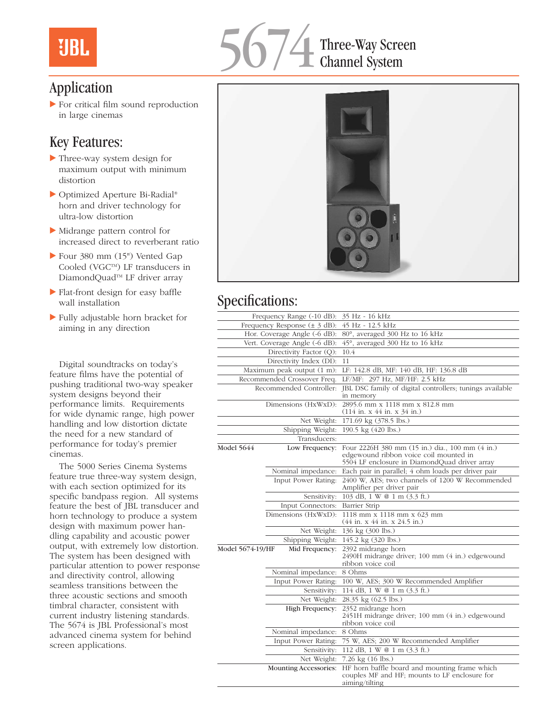# **UBL**



## Application

 $\blacktriangleright$  For critical film sound reproduction in large cinemas

## Key Features:

- Three-way system design for maximum output with minimum distortion
- ▶ Optimized Aperture Bi-Radial® horn and driver technology for ultra-low distortion
- $\blacktriangleright$  Midrange pattern control for increased direct to reverberant ratio
- Four  $380$  mm  $(15")$  Vented Gap Cooled (VGC™) LF transducers in DiamondQuad<sup>™</sup> LF driver array
- $\blacktriangleright$  Flat-front design for easy baffle wall installation
- $\blacktriangleright$  Fully adjustable horn bracket for aiming in any direction

Digital soundtracks on today's feature films have the potential of pushing traditional two-way speaker system designs beyond their performance limits. Requirements for wide dynamic range, high power handling and low distortion dictate the need for a new standard of performance for today's premier cinemas.

The 5000 Series Cinema Systems feature true three-way system design, with each section optimized for its specific bandpass region. All systems feature the best of JBL transducer and horn technology to produce a system design with maximum power handling capability and acoustic power output, with extremely low distortion. The system has been designed with particular attention to power response and directivity control, allowing seamless transitions between the three acoustic sections and smooth timbral character, consistent with current industry listening standards. The 5674 is JBL Professional's most advanced cinema system for behind screen applications.



## Specifications:

| Frequency Range (-10 dB):          |                                 | 35 Hz - 16 kHz                                                                                                                             |
|------------------------------------|---------------------------------|--------------------------------------------------------------------------------------------------------------------------------------------|
| Frequency Response $(\pm 3$ dB):   |                                 | 45 Hz - 12.5 kHz                                                                                                                           |
| Hor. Coverage Angle (-6 dB):       |                                 | 80°, averaged 300 Hz to 16 kHz                                                                                                             |
| Vert. Coverage Angle (-6 dB):      |                                 | 45°, averaged 300 Hz to 16 kHz                                                                                                             |
| Directivity Factor (Q):            |                                 | 10.4                                                                                                                                       |
| Directivity Index (DI):            |                                 | 11                                                                                                                                         |
| Maximum peak output (1 m):         |                                 | LF: 142.8 dB, MF: 140 dB, HF: 136.8 dB                                                                                                     |
| Recommended Crossover Freq.        |                                 | LF/MF: 297 Hz, MF/HF: 2.5 kHz                                                                                                              |
| Recommended Controller:            |                                 | JBL DSC family of digital controllers; tunings available<br>in memory                                                                      |
| Dimensions (HxWxD):                |                                 | 2895.6 mm x 1118 mm x 812.8 mm<br>$(114$ in. x 44 in. x 34 in.)                                                                            |
| Net Weight:                        |                                 | 171.69 kg (378.5 lbs.)                                                                                                                     |
| Shipping Weight:                   |                                 | 190.5 kg (420 lbs.)                                                                                                                        |
|                                    | Transducers:                    |                                                                                                                                            |
| Model 5644                         | Low Frequency:                  | Four 2226H 380 mm (15 in.) dia., 100 mm (4 in.)<br>edgewound ribbon voice coil mounted in<br>5504 LF enclosure in DiamondQuad driver array |
|                                    | Nominal impedance:              | Each pair in parallel; 4 ohm loads per driver pair                                                                                         |
|                                    | Input Power Rating:             | 2400 W, AES; two channels of 1200 W Recommended<br>Amplifier per driver pair                                                               |
|                                    | Sensitivity:                    | 103 dB, 1 W @ 1 m (3.3 ft.)                                                                                                                |
|                                    | Input Connectors: Barrier Strip |                                                                                                                                            |
|                                    | Dimensions (HxWxD):             | 1118 mm x 1118 mm x 623 mm<br>(44 in. x 44 in. x 24.5 in.)                                                                                 |
|                                    | Net Weight:                     | 136 kg (300 lbs.)                                                                                                                          |
|                                    | Shipping Weight:                | 145.2 kg (320 lbs.)                                                                                                                        |
| Model 5674-19/HF<br>Mid Frequency: |                                 | 2392 midrange horn<br>2490H midrange driver; 100 mm (4 in.) edgewound<br>ribbon voice coil                                                 |
|                                    | Nominal impedance: 8 Ohms       |                                                                                                                                            |
|                                    | Input Power Rating:             | 100 W, AES; 300 W Recommended Amplifier                                                                                                    |
|                                    | Sensitivity:                    | 114 dB, 1 W @ 1 m (3.3 ft.)                                                                                                                |
|                                    | Net Weight:                     | 28.35 kg (62.5 lbs.)                                                                                                                       |
|                                    | High Frequency:                 | 2352 midrange horn<br>2451H midrange driver; 100 mm (4 in.) edgewound<br>ribbon voice coil                                                 |
|                                    | Nominal impedance:              | 8 Ohms                                                                                                                                     |
|                                    | Input Power Rating:             | 75 W, AES; 200 W Recommended Amplifier                                                                                                     |
|                                    | Sensitivity:                    | 112 dB, 1 W @ 1 m (3.3 ft.)                                                                                                                |
|                                    | Net Weight:                     | 7.26 kg (16 lbs.)                                                                                                                          |
|                                    | <b>Mounting Accessories:</b>    | HF horn baffle board and mounting frame which<br>couples MF and HF; mounts to LF enclosure for<br>aiming/tilting                           |
|                                    |                                 |                                                                                                                                            |